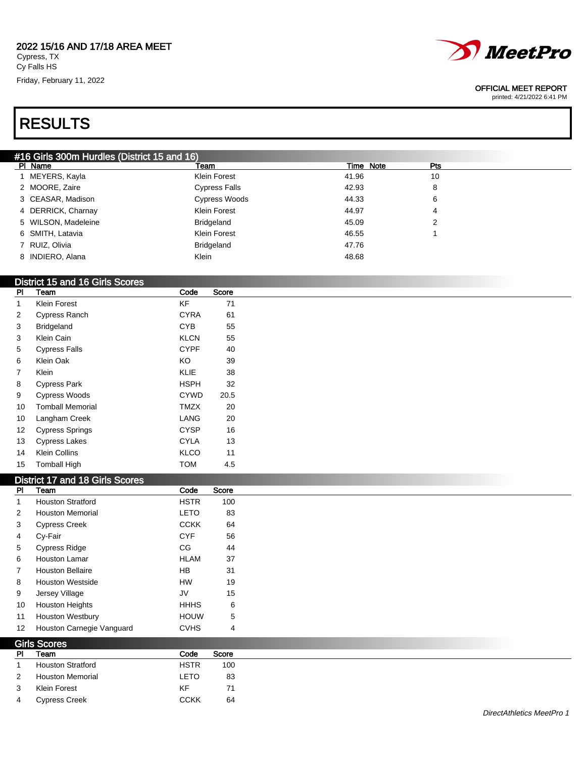#### 2022 15/16 AND 17/18 AREA MEET Cypress, TX

Cy Falls HS Friday, February 11, 2022



#### OFFICIAL MEET REPORT

printed: 4/21/2022 6:41 PM

# RESULTS

| #16 Girls 300m Hurdles (District 15 and 16) |  |
|---------------------------------------------|--|
| .                                           |  |

| PI Name             | Team                 | Time Note | Pts |
|---------------------|----------------------|-----------|-----|
| 1 MEYERS, Kayla     | Klein Forest         | 41.96     | 10  |
| 2 MOORE, Zaire      | <b>Cypress Falls</b> | 42.93     | 8   |
| 3 CEASAR, Madison   | Cypress Woods        | 44.33     | 6   |
| 4 DERRICK, Charnay  | <b>Klein Forest</b>  | 44.97     | 4   |
| 5 WILSON, Madeleine | Bridgeland           | 45.09     | 2   |
| 6 SMITH, Latavia    | <b>Klein Forest</b>  | 46.55     |     |
| 7 RUIZ, Olivia      | <b>Bridgeland</b>    | 47.76     |     |
| 8 INDIERO, Alana    | Klein                | 48.68     |     |

### District 15 and 16 Girls Scores

| PI | Team                    | Code        | Score |  |
|----|-------------------------|-------------|-------|--|
| 1  | Klein Forest            | KF          | 71    |  |
| 2  | Cypress Ranch           | <b>CYRA</b> | 61    |  |
| 3  | <b>Bridgeland</b>       | CYB         | 55    |  |
| 3  | Klein Cain              | <b>KLCN</b> | 55    |  |
| 5  | <b>Cypress Falls</b>    | <b>CYPF</b> | 40    |  |
| 6  | Klein Oak               | KO          | 39    |  |
| 7  | Klein                   | <b>KLIE</b> | 38    |  |
| 8  | <b>Cypress Park</b>     | HSPH        | 32    |  |
| 9  | <b>Cypress Woods</b>    | <b>CYWD</b> | 20.5  |  |
| 10 | <b>Tomball Memorial</b> | <b>TMZX</b> | 20    |  |
| 10 | Langham Creek           | LANG        | 20    |  |
| 12 | <b>Cypress Springs</b>  | <b>CYSP</b> | 16    |  |
| 13 | <b>Cypress Lakes</b>    | <b>CYLA</b> | 13    |  |
| 14 | <b>Klein Collins</b>    | <b>KLCO</b> | 11    |  |
| 15 | <b>Tomball High</b>     | TOM         | 4.5   |  |

#### District 17 and 18 Girls Scores

| <b>Houston Stratford</b>  | <b>HSTR</b>    |                |
|---------------------------|----------------|----------------|
|                           |                | 100            |
| <b>Houston Memorial</b>   | <b>LETO</b>    | 83             |
| <b>Cypress Creek</b>      | <b>CCKK</b>    | 64             |
| Cy-Fair                   | <b>CYF</b>     | 56             |
| <b>Cypress Ridge</b>      | CG             | 44             |
| <b>Houston Lamar</b>      | <b>HLAM</b>    | 37             |
| <b>Houston Bellaire</b>   | <b>HB</b>      | 31             |
| <b>Houston Westside</b>   | <b>HW</b>      | 19             |
| Jersey Village            | JV             | 15             |
| <b>Houston Heights</b>    | <b>HHHS</b>    | 6              |
| <b>Houston Westbury</b>   | <b>HOUW</b>    | 5              |
| Houston Carnegie Vanguard | <b>CVHS</b>    | $\overline{4}$ |
|                           | $O1$ $O2$ $O3$ |                |

| <b>GIIS SCULES</b> |                          |             |       |
|--------------------|--------------------------|-------------|-------|
| PI                 | Team                     | Code        | Score |
|                    | <b>Houston Stratford</b> | <b>HSTR</b> | 100   |
| 2                  | <b>Houston Memorial</b>  | LETO        | 83    |
| 3                  | Klein Forest             | KF          | 71    |
| 4                  | <b>Cypress Creek</b>     | ССКК        | 64    |